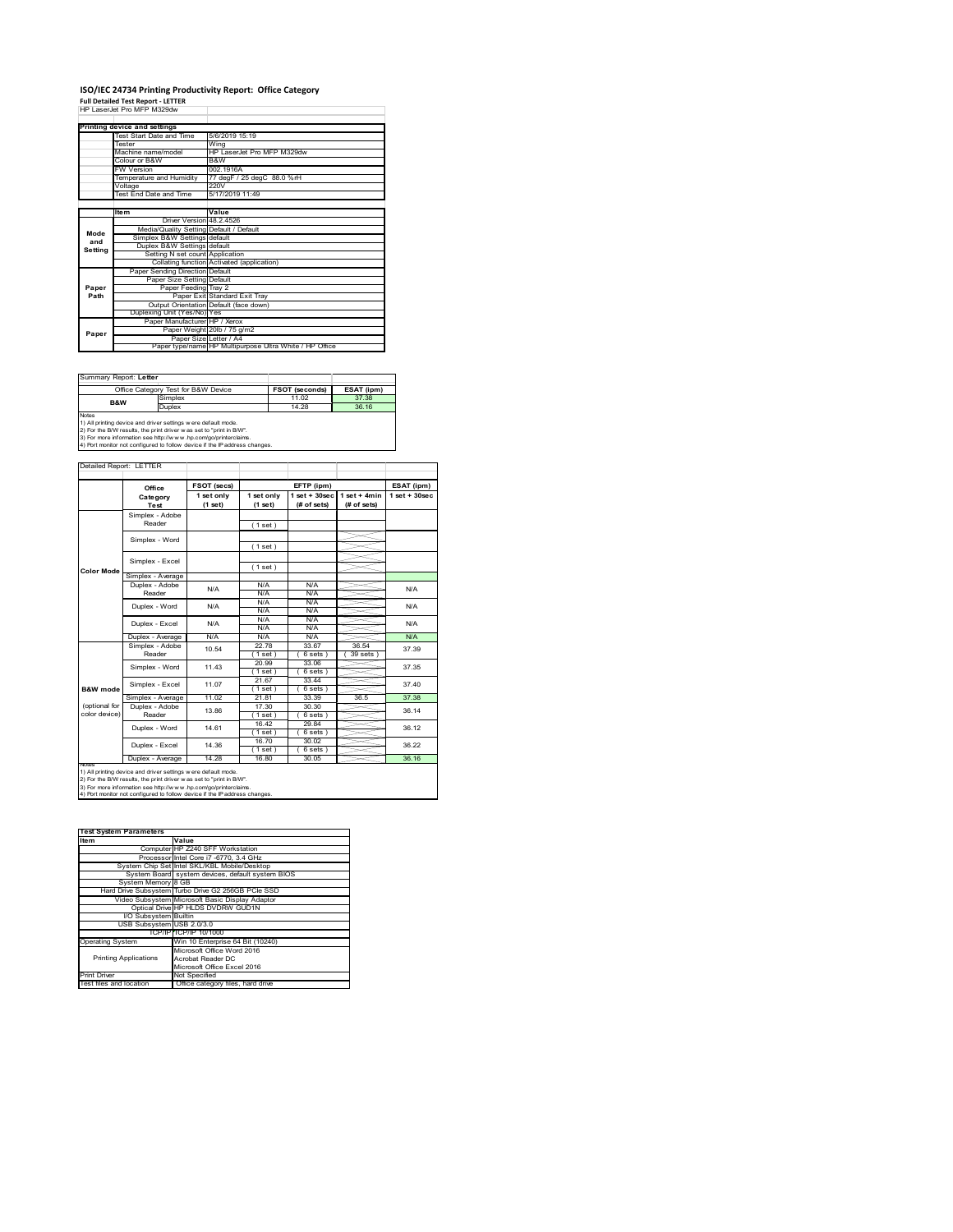### **ISO/IEC 24734 Printing Productivity Report: Office Category**

**Full Detailed Test Report ‐ LETTER** HP LaserJet Pro MFP M329dw

|         | Printing device and settings            |                                                         |
|---------|-----------------------------------------|---------------------------------------------------------|
|         | Test Start Date and Time                | 5/6/2019 15:19                                          |
|         | Tester                                  | Wing                                                    |
|         | Machine name/model                      | HP LaserJet Pro MFP M329dw                              |
|         | Colour or B&W                           | B&W                                                     |
|         | <b>FW Version</b>                       | 002.1916A                                               |
|         | Temperature and Humidity                | 77 degF / 25 degC 88.0 %rH                              |
|         | Voltage                                 | 220V                                                    |
|         | <b>Test End Date and Time</b>           | 5/17/2019 11:49                                         |
|         |                                         |                                                         |
|         | <b>Item</b>                             | Value                                                   |
|         | Driver Version 48.2.4526                |                                                         |
| Mode    | Media/Quality Setting Default / Default |                                                         |
| and     | Simplex B&W Settings default            |                                                         |
| Setting | Duplex B&W Settings default             |                                                         |
|         | Setting N set count Application         |                                                         |
|         |                                         | Collating function Activated (application)              |
|         | Paper Sending Direction Default         |                                                         |
|         | Paper Size Setting Default              |                                                         |
| Paper   | Paper Feeding Tray 2                    |                                                         |
| Path    |                                         | Paper Exit Standard Exit Tray                           |
|         |                                         | Output Orientation Default (face down)                  |
|         | Duplexing Unit (Yes/No) Yes             |                                                         |
|         | Paper Manufacturer HP / Xerox           |                                                         |
| Paper   |                                         | Paper Weight 20lb / 75 g/m2                             |
|         | Paper Size Letter / A4                  |                                                         |
|         |                                         | Paper type/name HP Multipurpose Ultra White / HP Office |

| Summary Report: Letter |                                                                                                                                                                                                                      |                       |            |
|------------------------|----------------------------------------------------------------------------------------------------------------------------------------------------------------------------------------------------------------------|-----------------------|------------|
|                        |                                                                                                                                                                                                                      | <b>FSOT (seconds)</b> | ESAT (ipm) |
|                        | Office Category Test for B&W Device<br>37.38<br>Simplex<br>11.02<br><b>B&amp;W</b><br>Duplex<br>36 16<br>14 28<br>1) All printing device and driver settings w ere default mode.                                     |                       |            |
|                        |                                                                                                                                                                                                                      |                       |            |
| <b>Notes</b>           | 2) For the B/W results, the print driver was set to "print in B/W".<br>3) For more information see http://www.hp.com/go/printerclaims.<br>4) Port monitor not configured to follow device if the IP address changes. |                       |            |

**FSOT (secs) ESAT (ipm) EFTP (ipm) Office 1 set only (1 set) 1 set only (1 set) 1 set + 30sec (# of sets) 1 set + 4min (# of sets) 1 set + 30sec** ( 1 set ) ( 1 set ) ( 1 set ) Simplex - Average Duplex - Adobe  $N/f$ N/A N/A N/A N/A N/A N/A<br>N/A N/A<br>N/A N/A Puplex - Average N/A N/A N/A N/A N/A N/A N/A N/A<br>
Simplex - Adobe 10.54 22.78 33.67 36.54 37.3<br>
Reader 10.54 (1.5et) (6.5ets) (39.5ets) 37.3 22.78 33.67 36.54  $( 6 \text{ sets } )$   $( 39 \text{ sets } )$ <br> $33.06$ 20.99 33.06  $( 1 \text{ set } )$ <br> $21.67$  $(6 \text{ set} 33.44)$  $\begin{array}{|c|c|c|c|}\n\hline\n(1 \text{ set}) & (6 \text{ set}) \\
\hline\n21.81 & 33.39\n\end{array}$ Simplex - Average 11.02 21.81 33.39 36.5 37.38<br>
Duplex - Adobe 13.86 17.30 30.30 36.14<br>
Reader 13.86 17.98 (6.9ets) 36.14 30.30 1 set ) ( 6 sets )<br>16.42 29.84 29.84  $( 6 \text{ sets } )$ <br> $30.02$  $(1 set)$ <br> $(1 6.70)$ <br> $(1 set)$ <br> $(1 6.80)$  $\frac{6}{1}$  set Duplex - Average | 14.28 | 16.80 | 30.05 | 36.16 37.40 ailed Report: LETTER **Category Test** N/A N/A N/A N/A Simplex - Word notes<br>1) All printing device and driver settings were default mode.<br>2) For the B/W results, the print driver was set to "print in B/W".<br>3) For more information see http://www.hp.com/go/printerclaims.<br>4) Por moralitor not c **B&W** mod (optional for color device) **Color Mode** Simplex - Adobe Reader Simplex - Excel Simplex - Word 11.43 Duplex - Excel Reader Duplex - Word 13.86 17.30 30.30 36.14 N/A 14.36 Duplex - Word Duplex - Excel 36.12 36.22 14.61 Simplex - Excel 11.07 10.54 N/A 37.39 37.35

| <b>Test System Parameters</b> |                                                    |
|-------------------------------|----------------------------------------------------|
| Item                          | Value                                              |
|                               | Computer HP Z240 SFF Workstation                   |
|                               | Processor Intel Core i7 -6770, 3.4 GHz             |
|                               | System Chip Set Intel SKL/KBL Mobile/Desktop       |
|                               | System Board system devices, default system BIOS   |
| System Memory 8 GB            |                                                    |
|                               | Hard Drive Subsystem Turbo Drive G2 256GB PCle SSD |
|                               | Video Subsystem Microsoft Basic Display Adaptor    |
|                               | Optical Drive HP HLDS DVDRW GUD1N                  |
| I/O Subsystem Builtin         |                                                    |
| USB Subsystem USB 2.0/3.0     |                                                    |
|                               | TCP/IPITCP/IP 10/1000                              |
| <b>Operating System</b>       | Win 10 Enterprise 64 Bit (10240)                   |
|                               | Microsoft Office Word 2016                         |
| <b>Printing Applications</b>  | Acrobat Reader DC                                  |
|                               | Microsoft Office Excel 2016                        |
| <b>Print Driver</b>           | Not Specified                                      |
| Test files and location       | Office category files, hard drive                  |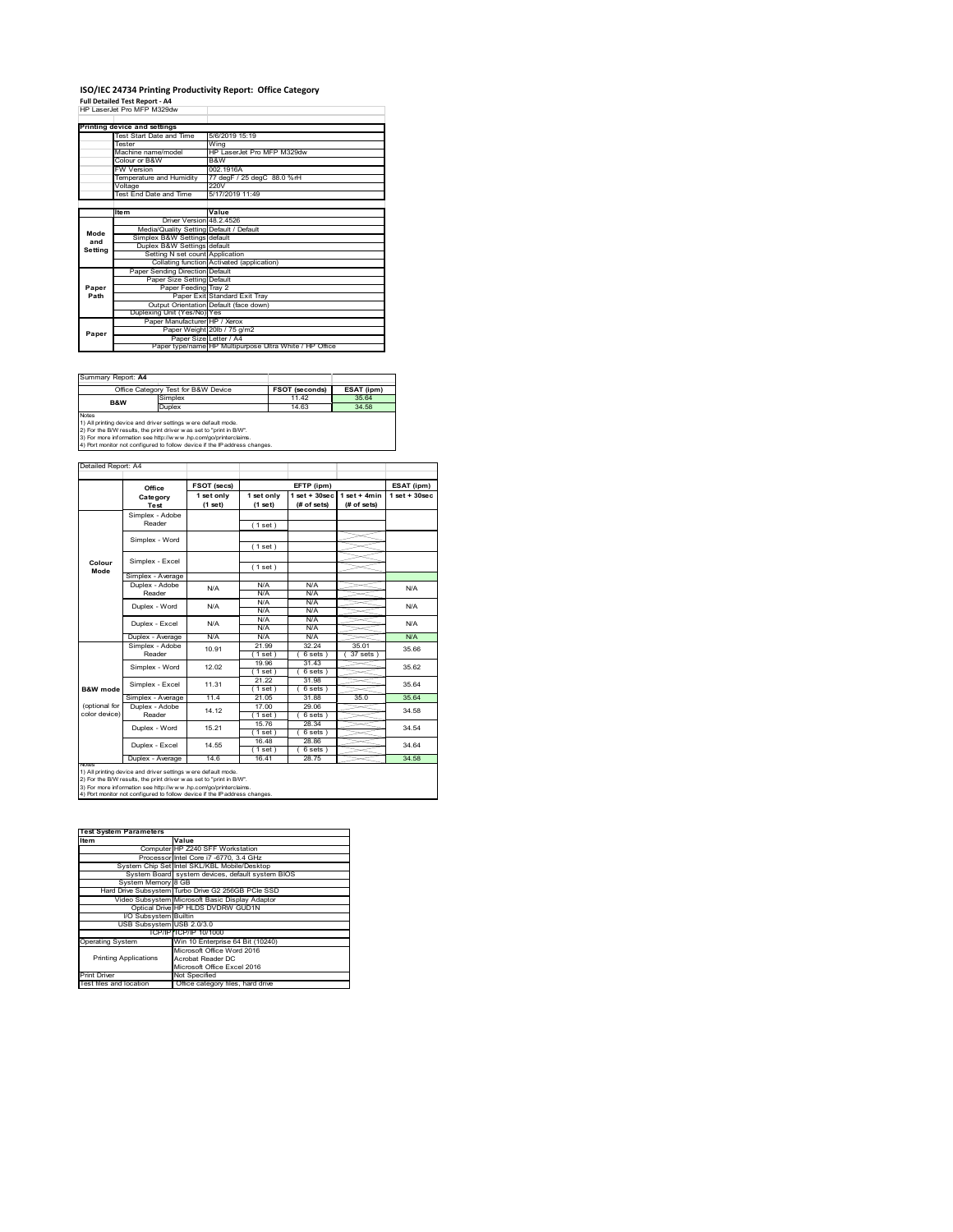### **ISO/IEC 24734 Printing Productivity Report: Office Category Full Detailed Test Report ‐ A4** HP LaserJet Pro MFP M329dw

|         | Printing device and settings            |                                                         |
|---------|-----------------------------------------|---------------------------------------------------------|
|         | Test Start Date and Time                | 5/6/2019 15:19                                          |
|         | Tester                                  | Wina                                                    |
|         | Machine name/model                      | HP LaserJet Pro MFP M329dw                              |
|         | Colour or B&W                           | B&W                                                     |
|         | <b>FW Version</b>                       | 002 1916A                                               |
|         | Temperature and Humidity                | 77 degF / 25 degC 88.0 %rH                              |
|         | Voltage                                 | 220V                                                    |
|         | Test End Date and Time                  | 5/17/2019 11:49                                         |
|         |                                         |                                                         |
|         | <b>Item</b>                             | Value                                                   |
|         | Driver Version 48.2.4526                |                                                         |
| Mode    | Media/Quality Setting Default / Default |                                                         |
| and     | Simplex B&W Settings default            |                                                         |
| Setting | Duplex B&W Settings default             |                                                         |
|         | Setting N set count Application         |                                                         |
|         |                                         | Collating function Activated (application)              |
|         | Paper Sending Direction Default         |                                                         |
|         | Paper Size Setting Default              |                                                         |
| Paper   | Paper Feeding Tray 2                    |                                                         |
| Path    |                                         | Paper Exit Standard Exit Tray                           |
|         |                                         | Output Orientation Default (face down)                  |
|         | Duplexing Unit (Yes/No) Yes             |                                                         |
|         | Paper Manufacturer HP / Xerox           |                                                         |
| Paper   |                                         | Paper Weight 20lb / 75 g/m2                             |
|         |                                         | Paper Size Letter / A4                                  |
|         |                                         | Paper type/name HP Multipurpose Ultra White / HP Office |

| Summary Report: A4 |                                                                                                                                                                                                          |                       |            |
|--------------------|----------------------------------------------------------------------------------------------------------------------------------------------------------------------------------------------------------|-----------------------|------------|
|                    | Office Category Test for B&W Device                                                                                                                                                                      | <b>FSOT (seconds)</b> | ESAT (ipm) |
| <b>B&amp;W</b>     | Simplex                                                                                                                                                                                                  | 11.42                 | 35.64      |
|                    | Duplex                                                                                                                                                                                                   | 14.63                 | 34.58      |
| <b>Notes</b>       | 1) All printing device and driver settings w ere default mode.<br>2) For the B/W results, the print driver was set to "print in B/W".<br>3) For more information see http://www.hp.com/go/printerclaims. |                       |            |
|                    | 4) Port monitor not configured to follow device if the IP address changes.                                                                                                                               |                       |            |

**FETP** (ipm) **ESAT** (ipm) **1 set only (1 set) 1 set only (1 set) 1 set + 30sec (# of sets) 1 set + 4min (# of sets) 1 set + 30sec** ( 1 set ) ( 1 set ) ( 1 set ) Simplex - Average Duplex - Adobe  $N/f$ N/A N/A N/A N/A N/A N/A N/A N/A  $N/A$   $N/A$   $N$ Puplex - Average N/A N/A N/A N/A N/A N/A<br>
Simplex - Adobe 10.91 21.99 32.24 35.01 35.6<br>
Reader 10.91 (1 set) (6 sets) (37 sets) 21.99 32.24 35.01<br>
(1 set) (6 sets) (37 sets)<br>
19.96 31.43  $( 6 \text{ sets } )$ <br> $31.43$ 19.96 31.43 ( 1 set ) ( 6 sets ) 21.22 31.98  $\frac{1.162}{21.05}$  ( 6 sets )<br> $\frac{21.05}{21.05}$  31.88 Simplex - Average 11.4 21.05 31.88 35.04<br>
Duplex - Adobe 14.12 17.00 29.06 34.58<br>
Reader 14.12 17.00 29.06 34.58 17.00 29.06<br>(1 set) (6 sets 1 set ) ( 6 sets )<br>15.76 28.34 28.34  $( 6 \text{ sets } )$ <br> $28.86$  $(1$  set)<br> $(1$  set)<br> $(1$  set)  $( 6 \text{ set} 28.75)$ Duplex - Average | 14.6 | 16.41 | 28.75 | 34.58 14.55 Duplex - Word Duplex - Excel 34.54 34.64 15.21 14.12 N/A 35.66 35.62 35.64 34.58 N/A Simplex - Word 12.02 Duplex - Excel 10.91 notes<br>1) All printing device and driver settings were default mode.<br>2) For the B/W results, the print driver was set to "print in B/W".<br>3) For more information see http://www.hp.com/go/printerclaims.<br>4) Por moralitor not c **B&W** mod (optional for color device) **Colour Mode** Simplex - Adobe Reader Simplex - Excel Simplex - Word Simplex - Excel 11.31 Reader Duplex - Word ailed Report: A4 **FSOT** (secs) **Category Test** N/A  $N/A$   $N/A$   $N/A$   $N/A$   $N/A$ N/A

| <b>Test System Parameters</b> |                                                    |
|-------------------------------|----------------------------------------------------|
| Item                          | Value                                              |
|                               | Computer HP Z240 SFF Workstation                   |
|                               | Processor Intel Core i7 -6770, 3.4 GHz             |
|                               | System Chip Set Intel SKL/KBL Mobile/Desktop       |
|                               | System Board system devices, default system BIOS   |
| System Memory 8 GB            |                                                    |
|                               | Hard Drive Subsystem Turbo Drive G2 256GB PCle SSD |
|                               | Video Subsystem Microsoft Basic Display Adaptor    |
|                               | Optical Drive HP HLDS DVDRW GUD1N                  |
| I/O Subsystem Builtin         |                                                    |
| USB Subsystem USB 2.0/3.0     |                                                    |
|                               | TCP/IPITCP/IP 10/1000                              |
| <b>Operating System</b>       | Win 10 Enterprise 64 Bit (10240)                   |
|                               | Microsoft Office Word 2016                         |
| <b>Printing Applications</b>  | Acrobat Reader DC                                  |
|                               | Microsoft Office Excel 2016                        |
| <b>Print Driver</b>           | Not Specified                                      |
| Test files and location       | Office category files, hard drive                  |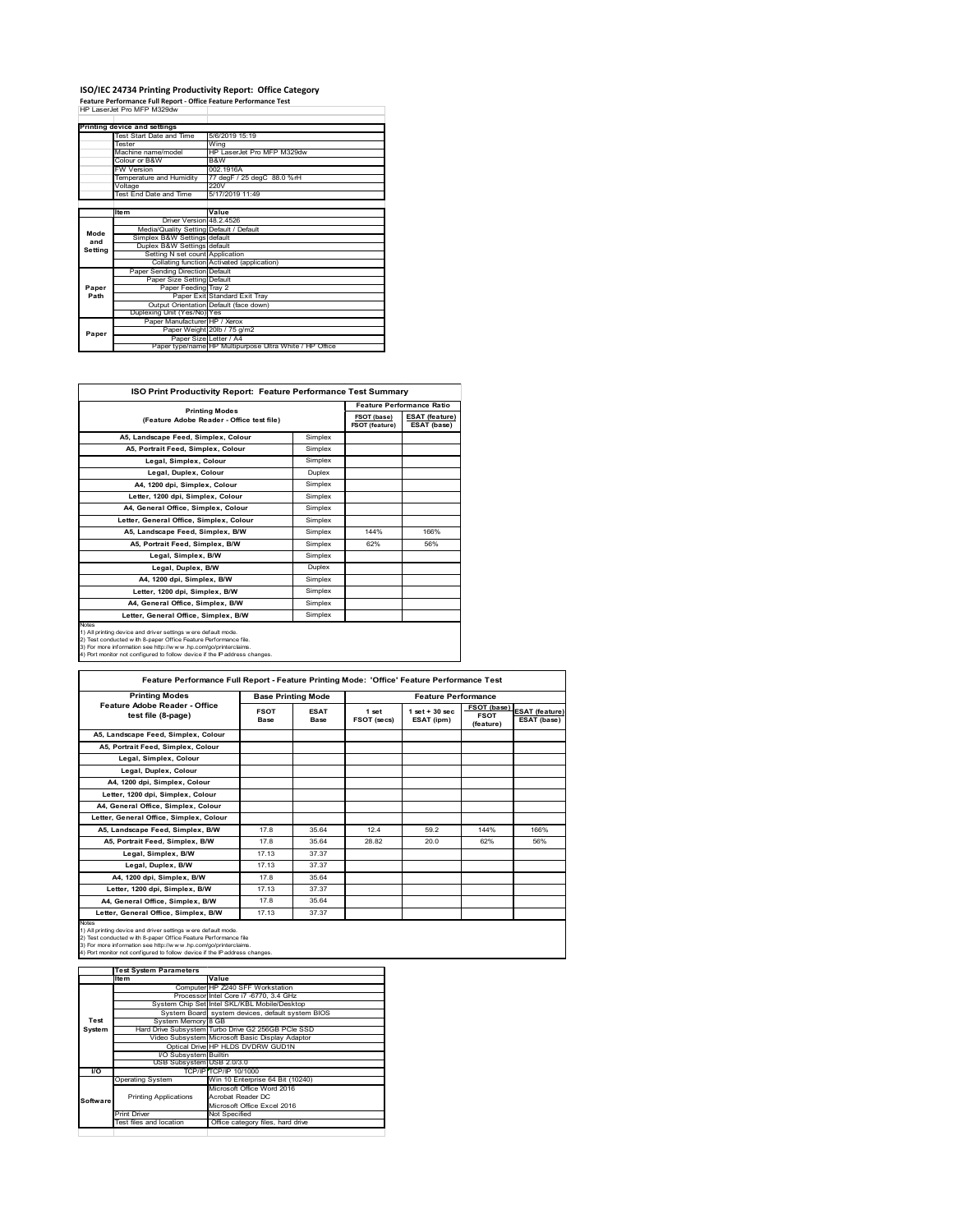# **ISO/IEC 24734 Printing Productivity Report: Office Category Feature Performance Full Report ‐ Office Feature Performance Test** HP LaserJet Pro MFP M329dw

|         | Printing device and settings            |                                                         |
|---------|-----------------------------------------|---------------------------------------------------------|
|         | Test Start Date and Time                | 5/6/2019 15:19                                          |
|         | Tester                                  | Wing                                                    |
|         | Machine name/model                      | HP LaserJet Pro MFP M329dw                              |
|         | Colour or B&W                           | B&W                                                     |
|         | <b>FW Version</b>                       | 002 1916A                                               |
|         | Temperature and Humidity                | 77 degF / 25 degC 88.0 %rH                              |
|         | Voltage                                 | 220V                                                    |
|         | Test End Date and Time                  | 5/17/2019 11:49                                         |
|         |                                         |                                                         |
|         | <b>Item</b>                             | Value                                                   |
|         | Driver Version 48 2 4526                |                                                         |
| Mode    | Media/Quality Setting Default / Default |                                                         |
| and     | Simplex B&W Settings default            |                                                         |
| Setting | Duplex B&W Settings default             |                                                         |
|         | Setting N set count Application         |                                                         |
|         |                                         | Collating function Activated (application)              |
|         | Paper Sending Direction Default         |                                                         |
|         | Paper Size Setting Default              |                                                         |
| Paper   | Paper Feeding Tray 2                    |                                                         |
| Path    |                                         | Paper Exit Standard Exit Tray                           |
|         |                                         | Output Orientation Default (face down)                  |
|         | Duplexing Unit (Yes/No) Yes             |                                                         |
|         | Paper Manufacturer HP / Xerox           |                                                         |
| Paper   |                                         | Paper Weight 20lb / 75 g/m2                             |
|         | Paper Size Letter / A4                  |                                                         |
|         |                                         | Paper type/name HP Multipurpose Ultra White / HP Office |

| <b>ISO Print Productivity Report: Feature Performance Test Summary</b>                                                                                                                                                                                                                            |         |                               |                                      |
|---------------------------------------------------------------------------------------------------------------------------------------------------------------------------------------------------------------------------------------------------------------------------------------------------|---------|-------------------------------|--------------------------------------|
|                                                                                                                                                                                                                                                                                                   |         |                               | <b>Feature Performance Ratio</b>     |
| <b>Printing Modes</b><br>(Feature Adobe Reader - Office test file)                                                                                                                                                                                                                                |         | FSOT (base)<br>FSOT (feature) | <b>ESAT</b> (feature)<br>ESAT (base) |
| A5. Landscape Feed. Simplex. Colour                                                                                                                                                                                                                                                               | Simplex |                               |                                      |
| A5, Portrait Feed, Simplex, Colour                                                                                                                                                                                                                                                                | Simplex |                               |                                      |
| Legal, Simplex, Colour                                                                                                                                                                                                                                                                            | Simplex |                               |                                      |
| Legal, Duplex, Colour                                                                                                                                                                                                                                                                             | Duplex  |                               |                                      |
| A4, 1200 dpi, Simplex, Colour                                                                                                                                                                                                                                                                     | Simplex |                               |                                      |
| Letter, 1200 dpi, Simplex, Colour                                                                                                                                                                                                                                                                 | Simplex |                               |                                      |
| A4. General Office. Simplex. Colour                                                                                                                                                                                                                                                               | Simplex |                               |                                      |
| Letter, General Office, Simplex, Colour                                                                                                                                                                                                                                                           | Simplex |                               |                                      |
| A5, Landscape Feed, Simplex, B/W                                                                                                                                                                                                                                                                  | Simplex | 144%                          | 166%                                 |
| A5. Portrait Feed. Simplex. B/W                                                                                                                                                                                                                                                                   | Simplex | 62%                           | 56%                                  |
| Legal, Simplex, B/W                                                                                                                                                                                                                                                                               | Simplex |                               |                                      |
| Legal, Duplex, B/W                                                                                                                                                                                                                                                                                | Duplex  |                               |                                      |
| A4, 1200 dpi, Simplex, B/W                                                                                                                                                                                                                                                                        | Simplex |                               |                                      |
| Letter, 1200 dpi, Simplex, B/W                                                                                                                                                                                                                                                                    | Simplex |                               |                                      |
| A4, General Office, Simplex, B/W                                                                                                                                                                                                                                                                  | Simplex |                               |                                      |
| Letter, General Office, Simplex, B/W                                                                                                                                                                                                                                                              | Simplex |                               |                                      |
| <b>Notes</b><br>1) All printing device and driver settings were default mode.<br>2) Test conducted with 8-paper Office Feature Performance file.<br>3) For more information see http://www.hp.com/go/printerclaims.<br>4) Port monitor not configured to follow device if the IP address changes. |         |                               |                                      |

| <b>Printing Modes</b>                               |                     | <b>Base Printing Mode</b> |                      | <b>Feature Performance</b>      |                                         |                                      |
|-----------------------------------------------------|---------------------|---------------------------|----------------------|---------------------------------|-----------------------------------------|--------------------------------------|
| Feature Adobe Reader - Office<br>test file (8-page) | <b>FSOT</b><br>Base | <b>ESAT</b><br>Base       | 1 set<br>FSOT (secs) | $1$ set $+30$ sec<br>ESAT (ipm) | FSOT (base)<br><b>FSOT</b><br>(feature) | <b>ESAT</b> (feature)<br>ESAT (base) |
| A5, Landscape Feed, Simplex, Colour                 |                     |                           |                      |                                 |                                         |                                      |
| A5, Portrait Feed, Simplex, Colour                  |                     |                           |                      |                                 |                                         |                                      |
| Legal, Simplex, Colour                              |                     |                           |                      |                                 |                                         |                                      |
| Legal, Duplex, Colour                               |                     |                           |                      |                                 |                                         |                                      |
| A4, 1200 dpi, Simplex, Colour                       |                     |                           |                      |                                 |                                         |                                      |
| Letter, 1200 dpi, Simplex, Colour                   |                     |                           |                      |                                 |                                         |                                      |
| A4, General Office, Simplex, Colour                 |                     |                           |                      |                                 |                                         |                                      |
| Letter, General Office, Simplex, Colour             |                     |                           |                      |                                 |                                         |                                      |
| A5, Landscape Feed, Simplex, B/W                    | 17.8                | 35.64                     | 12.4                 | 59.2                            | 144%                                    | 166%                                 |
| A5, Portrait Feed, Simplex, B/W                     | 178                 | 35 64                     | 28.82                | 20.0                            | 62%                                     | 56%                                  |
| Legal, Simplex, B/W                                 | 17.13               | 37.37                     |                      |                                 |                                         |                                      |
| Legal, Duplex, B/W                                  | 17.13               | 37.37                     |                      |                                 |                                         |                                      |
| A4, 1200 dpi, Simplex, B/W                          | 178                 | 35 64                     |                      |                                 |                                         |                                      |
| Letter, 1200 dpi, Simplex, B/W                      | 17.13               | 37.37                     |                      |                                 |                                         |                                      |
| A4, General Office, Simplex, B/W                    | 17.8                | 35.64                     |                      |                                 |                                         |                                      |
| Letter, General Office, Simplex, B/W                | 17.13               | 37.37                     |                      |                                 |                                         |                                      |

 $\sim$   $\sim$ 

1) All printing device and driver settings were default mode.<br>2) Test conducted with 8-paper Office Feature Performance file<br>3) For more information see http://www.hp.com/go/printerclaims.<br>4) Port monitor not configured to

**IValue**<br>
Computer HP Z240 SFF Workstation<br>
Processor Intel Core i7 -6770, 3.4 GHz<br>
System Chip Set Intel SKL/KBL Mobile/Desktop<br>
System Board system devices, default system BIOS<br> Board syste<br>emory 8 GB Hard Drive Subsystem Turbo Drive G2 256GB PCIe SSD Video Subsystem Microsoft Basic Display Adaptor Optical Drive HP HLDS DVDRW GUD1N Bystem<br>Ial Drive<br>Builtem USB Subsystem USB 2.0/3.0 TCP/IP (TCP/IP 10/1000)<br>Operating System<br>Thriting Applications<br>Thriting Applications<br>Thriting Applications<br>Thriting Applications<br>Thriting Microsoft Office Excel 2016<br>Test flies and location<br>Office category files, hard driv Printing Applications **Test System Software Test System Parameters**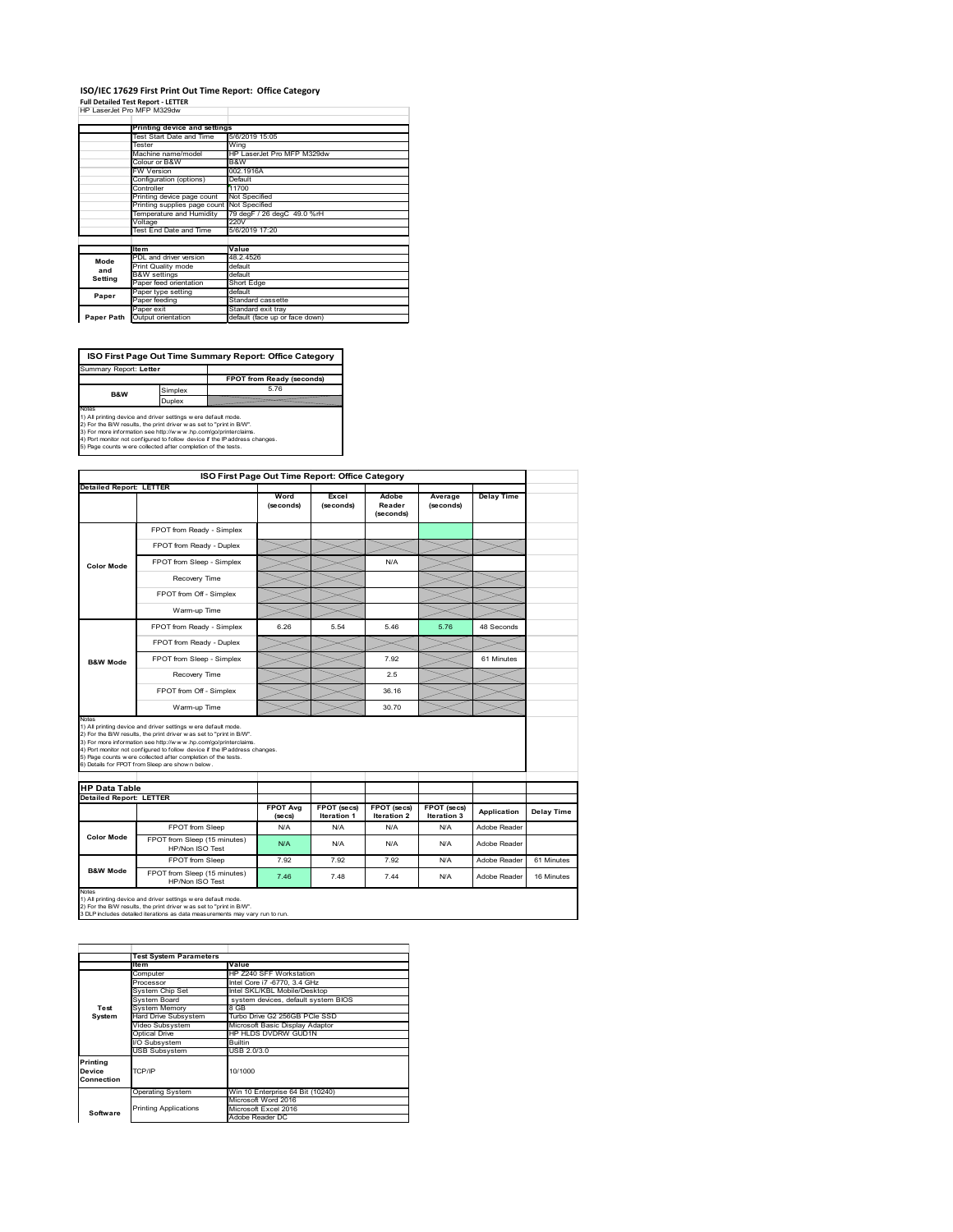### **ISO/IEC 17629 First Print Out Time Report: Office Category Full Detailed Test Report ‐ LETTER** HP LaserJet Pro MFP M329dw

| HP Laser let Pro MFP M329dw                |                            |
|--------------------------------------------|----------------------------|
|                                            |                            |
| Printing device and settings               |                            |
| Test Start Date and Time                   | 5/6/2019 15:05             |
| Tester                                     | Wina                       |
| Machine name/model                         | HP LaserJet Pro MFP M329dw |
| Colour or B&W                              | B&W                        |
| <b>FW Version</b>                          | 002.1916A                  |
| Configuration (options)                    | Default                    |
| Controller                                 | 11700                      |
| Printing device page count                 | Not Specified              |
| Printing supplies page count Not Specified |                            |
| Temperature and Humidity                   | 79 degF / 26 degC 49.0 %rH |
| $\frac{1}{2}$                              | 22011                      |

|            | Through supplies page count nect opecined |                                |
|------------|-------------------------------------------|--------------------------------|
|            | Temperature and Humidity                  | 79 degF / 26 degC 49.0 %rH     |
|            | Voltage                                   | 220V                           |
|            | Test End Date and Time                    | 5/6/2019 17:20                 |
|            | <b>Item</b>                               | Value                          |
| Mode       | PDL and driver version                    | 48.2.4526                      |
|            | Print Quality mode                        | default                        |
| and        | <b>B&amp;W</b> settings                   | default                        |
| Setting    | Paper feed orientation                    | Short Edge                     |
| Paper      | Paper type setting                        | default                        |
|            | Paper feeding                             | Standard cassette              |
|            | Paper exit                                | Standard exit trav             |
| Paper Path | Output orientation                        | default (face up or face down) |

**ISO First Page Out Time Summary Report: Office Category**

**FPOT from Ready (seconds)**<br>
Simplex 5.76 **Duplex**<br>Notes<br>1) All printing device and driver settings were default mode.<br>2) For the BM results, the print driver was set to "print in BM".<br>4) For more information see http://www.hp.com/golprinterclaims.<br>4) Port monitor Summary Report: **Letter B&W**

|                                                                 |                                                                                                                                                                                                                                                                                                                                                                                                              | ISO First Page Out Time Report: Office Category |                    |                              |                      |                   |            |
|-----------------------------------------------------------------|--------------------------------------------------------------------------------------------------------------------------------------------------------------------------------------------------------------------------------------------------------------------------------------------------------------------------------------------------------------------------------------------------------------|-------------------------------------------------|--------------------|------------------------------|----------------------|-------------------|------------|
| <b>Detailed Report: LETTER</b>                                  |                                                                                                                                                                                                                                                                                                                                                                                                              | Word<br>(seconds)                               | Excel<br>(seconds) | Adobe<br>Reader<br>(seconds) | Average<br>(seconds) | <b>Delay Time</b> |            |
|                                                                 | FPOT from Ready - Simplex                                                                                                                                                                                                                                                                                                                                                                                    |                                                 |                    |                              |                      |                   |            |
|                                                                 | FPOT from Ready - Duplex                                                                                                                                                                                                                                                                                                                                                                                     |                                                 |                    |                              |                      |                   |            |
| <b>Color Mode</b>                                               | FPOT from Sleep - Simplex                                                                                                                                                                                                                                                                                                                                                                                    |                                                 |                    | N/A                          |                      |                   |            |
|                                                                 | Recovery Time                                                                                                                                                                                                                                                                                                                                                                                                |                                                 |                    |                              |                      |                   |            |
|                                                                 | FPOT from Off - Simplex                                                                                                                                                                                                                                                                                                                                                                                      |                                                 |                    |                              |                      |                   |            |
|                                                                 | Warm-up Time                                                                                                                                                                                                                                                                                                                                                                                                 |                                                 |                    |                              |                      |                   |            |
|                                                                 | FPOT from Ready - Simplex                                                                                                                                                                                                                                                                                                                                                                                    | 6.26                                            | 5.54               | 5.46                         | 5.76                 | 48 Seconds        |            |
|                                                                 | FPOT from Ready - Duplex                                                                                                                                                                                                                                                                                                                                                                                     |                                                 |                    |                              |                      |                   |            |
| <b>B&amp;W Mode</b>                                             | FPOT from Sleep - Simplex                                                                                                                                                                                                                                                                                                                                                                                    |                                                 |                    | 7.92                         |                      | 61 Minutes        |            |
|                                                                 | Recovery Time                                                                                                                                                                                                                                                                                                                                                                                                |                                                 |                    | 2.5                          |                      |                   |            |
|                                                                 |                                                                                                                                                                                                                                                                                                                                                                                                              |                                                 |                    |                              |                      |                   |            |
|                                                                 | FPOT from Off - Simplex                                                                                                                                                                                                                                                                                                                                                                                      |                                                 |                    | 36.16                        |                      |                   |            |
|                                                                 | Warm-up Time                                                                                                                                                                                                                                                                                                                                                                                                 |                                                 |                    | 30.70                        |                      |                   |            |
| Notes<br><b>HP Data Table</b><br><b>Detailed Report: LETTER</b> | 1) All printing device and driver settings w ere default mode.<br>2) For the B/W results, the print driver w as set to "print in B/W".<br>3) For more information see http://www.hp.com/go/printerclaims.<br>4) Port monitor not configured to follow device if the IP address changes.<br>5) Page counts w ere collected after completion of the tests.<br>6) Details for FPOT from Sleep are show n below. |                                                 |                    |                              |                      |                   |            |
|                                                                 |                                                                                                                                                                                                                                                                                                                                                                                                              | <b>FPOT Avg</b>                                 | FPOT (secs)        | FPOT (secs)                  | FPOT (secs)          | Application       | Delay Time |
|                                                                 | FPOT from Sleep                                                                                                                                                                                                                                                                                                                                                                                              | (se cs)<br>N/A                                  | Iteration 1<br>N/A | Iteration 2<br>N/A           | Iteration 3<br>N/A   | Adobe Reader      |            |
| <b>Color Mode</b>                                               | FPOT from Sleep (15 minutes)<br>HP/Non ISO Test                                                                                                                                                                                                                                                                                                                                                              | N/A                                             | N/A                | N/A                          | N/A                  | Adobe Reader      |            |
| <b>B&amp;W Mode</b>                                             | FPOT from Sleep                                                                                                                                                                                                                                                                                                                                                                                              | 7.92                                            | 7.92               | 7.92                         | N/A                  | Adobe Reader      | 61 Minutes |

|                                  | <b>Test System Parameters</b> |                                     |  |  |  |
|----------------------------------|-------------------------------|-------------------------------------|--|--|--|
|                                  | <b>Item</b>                   | Value                               |  |  |  |
|                                  | Computer                      | HP Z240 SFF Workstation             |  |  |  |
|                                  | Processor                     | Intel Core i7 -6770, 3.4 GHz        |  |  |  |
|                                  | System Chip Set               | Intel SKL/KBL Mobile/Desktop        |  |  |  |
|                                  | System Board                  | system devices, default system BIOS |  |  |  |
| Test                             | <b>System Memory</b>          | 8 GB                                |  |  |  |
| System                           | Hard Drive Subsystem          | Turbo Drive G2 256GB PCle SSD       |  |  |  |
|                                  | Video Subsystem               | Microsoft Basic Display Adaptor     |  |  |  |
|                                  | Optical Drive                 | HP HLDS DVDRW GUD1N                 |  |  |  |
|                                  | I/O Subsystem                 | <b>Builtin</b>                      |  |  |  |
|                                  | <b>USB Subsystem</b>          | USB 2.0/3.0                         |  |  |  |
| Printing<br>Device<br>Connection | TCP/IP                        | 10/1000                             |  |  |  |
|                                  | <b>Operating System</b>       | Win 10 Enterprise 64 Bit (10240)    |  |  |  |
|                                  |                               | Microsoft Word 2016                 |  |  |  |
| Software                         | <b>Printing Applications</b>  | Microsoft Excel 2016                |  |  |  |
|                                  |                               | Adobe Reader DC                     |  |  |  |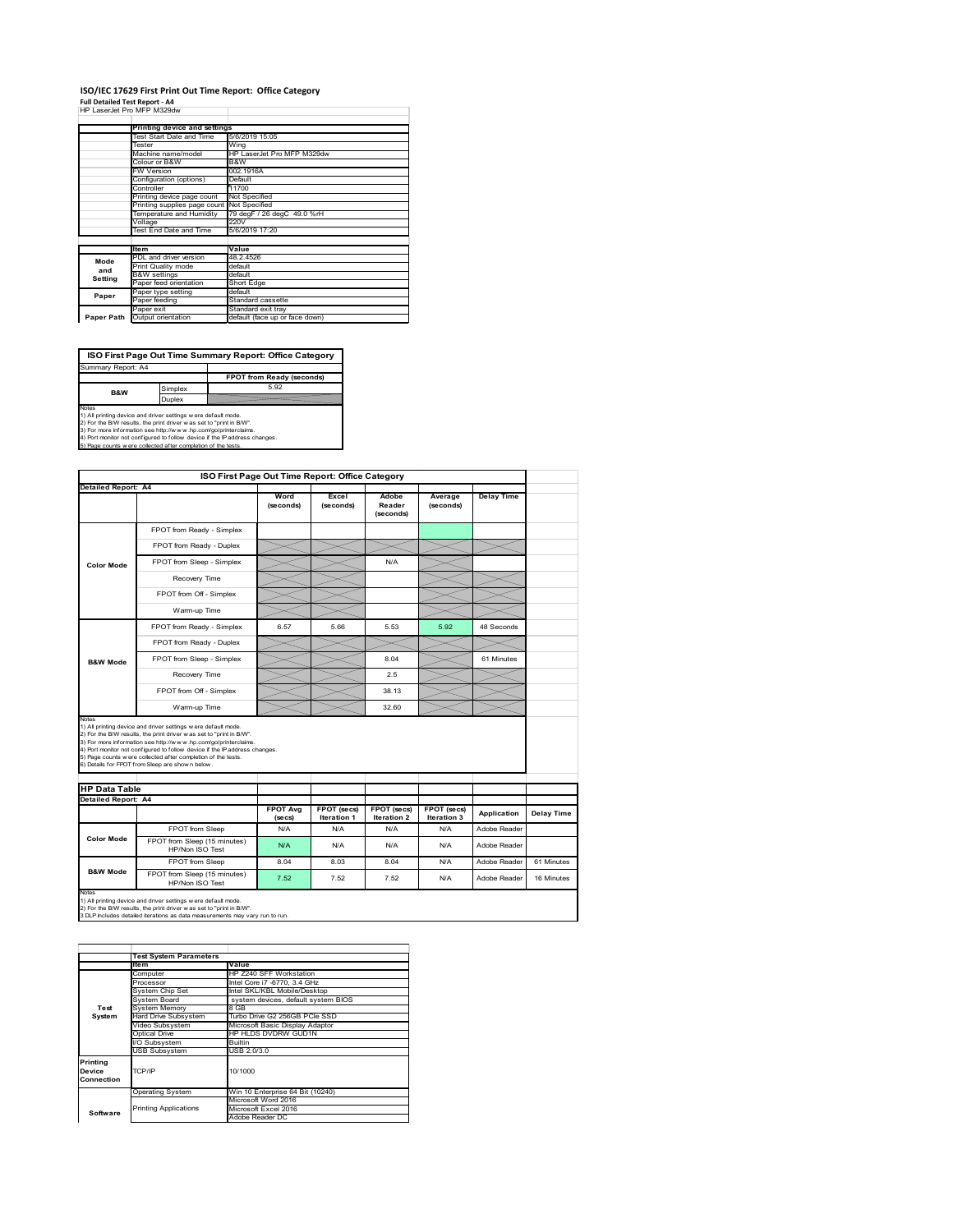# **ISO/IEC 17629 First Print Out Time Report: Office Category**

| Full Detailed Test Report - A4 |  |
|--------------------------------|--|
| HP LaserJet Pro MFP M329dw     |  |

|            | Printing device and settings               |                                |  |  |
|------------|--------------------------------------------|--------------------------------|--|--|
|            |                                            |                                |  |  |
|            | Test Start Date and Time                   | 5/6/2019 15:05                 |  |  |
|            | Tester                                     | Wing                           |  |  |
|            | Machine name/model                         | HP LaserJet Pro MFP M329dw     |  |  |
|            | Colour or B&W                              | B&W                            |  |  |
|            | <b>FW Version</b>                          | 002.1916A                      |  |  |
|            | Configuration (options)                    | Default                        |  |  |
|            | Controller                                 | 11700                          |  |  |
|            | Printing device page count                 | Not Specified                  |  |  |
|            | Printing supplies page count Not Specified |                                |  |  |
|            | Temperature and Humidity                   | 79 degF / 26 degC 49.0 %rH     |  |  |
|            | Voltage                                    | 220V                           |  |  |
|            | <b>Test End Date and Time</b>              | 5/6/2019 17:20                 |  |  |
|            |                                            |                                |  |  |
|            | <b>Item</b>                                | Value                          |  |  |
| Mode       | PDL and driver version                     | 48.2.4526                      |  |  |
| and        | Print Quality mode                         | default                        |  |  |
|            | <b>B&amp;W</b> settings                    | default                        |  |  |
| Setting    | Paper feed orientation                     | Short Edge                     |  |  |
| Paper      | Paper type setting                         | default                        |  |  |
|            | Paper feeding                              | Standard cassette              |  |  |
|            | Paper exit                                 | Standard exit tray             |  |  |
| Paper Path | Output orientation                         | default (face up or face down) |  |  |

**ISO First Page Out Time Summary Report: Office Category**

**FPOT from Ready (seconds)** Simplex 5.92 **Duplex** Notes<br>1) All printing device and driver settings were default mode.<br>2) For the BAV results, the print driver was set to "print in BAV".<br>3) For more information see http://www.hp.com/golprinterclaims.<br>4) Port monitor not co Summary Report: A4 **B&W**

|                                                                                                                                                                                                                                                                                                                                                                                                                                                                            |                                                 | ISO First Page Out Time Report: Office Category |                            |                              |                            |                   |            |
|----------------------------------------------------------------------------------------------------------------------------------------------------------------------------------------------------------------------------------------------------------------------------------------------------------------------------------------------------------------------------------------------------------------------------------------------------------------------------|-------------------------------------------------|-------------------------------------------------|----------------------------|------------------------------|----------------------------|-------------------|------------|
| Detailed Report: A4                                                                                                                                                                                                                                                                                                                                                                                                                                                        |                                                 |                                                 |                            |                              |                            |                   |            |
|                                                                                                                                                                                                                                                                                                                                                                                                                                                                            |                                                 | Word<br>(seconds)                               | Excel<br>(seconds)         | Adobe<br>Reader<br>(seconds) | Average<br>(seconds)       | <b>Delay Time</b> |            |
|                                                                                                                                                                                                                                                                                                                                                                                                                                                                            | FPOT from Ready - Simplex                       |                                                 |                            |                              |                            |                   |            |
|                                                                                                                                                                                                                                                                                                                                                                                                                                                                            | FPOT from Ready - Duplex                        |                                                 |                            |                              |                            |                   |            |
| <b>Color Mode</b>                                                                                                                                                                                                                                                                                                                                                                                                                                                          | FPOT from Sleep - Simplex                       |                                                 |                            | N/A                          |                            |                   |            |
|                                                                                                                                                                                                                                                                                                                                                                                                                                                                            | Recovery Time                                   |                                                 |                            |                              |                            |                   |            |
|                                                                                                                                                                                                                                                                                                                                                                                                                                                                            | FPOT from Off - Simplex                         |                                                 |                            |                              |                            |                   |            |
|                                                                                                                                                                                                                                                                                                                                                                                                                                                                            | Warm-up Time                                    |                                                 |                            |                              |                            |                   |            |
|                                                                                                                                                                                                                                                                                                                                                                                                                                                                            | FPOT from Ready - Simplex                       | 6.57                                            | 5.66                       | 5.53                         | 5.92                       | 48 Seconds        |            |
|                                                                                                                                                                                                                                                                                                                                                                                                                                                                            | FPOT from Ready - Duplex                        |                                                 |                            |                              |                            |                   |            |
| <b>B&amp;W Mode</b>                                                                                                                                                                                                                                                                                                                                                                                                                                                        | FPOT from Sleep - Simplex                       |                                                 |                            | 8.04                         |                            | 61 Minutes        |            |
|                                                                                                                                                                                                                                                                                                                                                                                                                                                                            | Recovery Time                                   |                                                 |                            | 2.5                          |                            |                   |            |
|                                                                                                                                                                                                                                                                                                                                                                                                                                                                            | FPOT from Off - Simplex                         |                                                 |                            | 38.13                        |                            |                   |            |
|                                                                                                                                                                                                                                                                                                                                                                                                                                                                            | Warm-up Time                                    |                                                 |                            | 32.60                        |                            |                   |            |
| Notes<br>1) All printing device and driver settings w ere default mode.<br>2) For the B/W results, the print driver was set to "print in B/W".<br>3) For more information see http://www.hp.com/go/printerclaims.<br>4) Port monitor not configured to follow device if the IP address changes.<br>5) Page counts w ere collected after completion of the tests.<br>6) Details for FPOT from Sleep are show n below.<br><b>HP Data Table</b><br><b>Detailed Report: A4</b> |                                                 |                                                 |                            |                              |                            |                   |            |
|                                                                                                                                                                                                                                                                                                                                                                                                                                                                            |                                                 |                                                 |                            |                              |                            |                   |            |
|                                                                                                                                                                                                                                                                                                                                                                                                                                                                            |                                                 | <b>FPOT Avg</b><br>(se cs)                      | FPOT (secs)<br>Iteration 1 | FPOT (secs)<br>Iteration 2   | FPOT (secs)<br>Iteration 3 | Application       | Delay Time |
|                                                                                                                                                                                                                                                                                                                                                                                                                                                                            | FPOT from Sleep                                 | N/A                                             | N/A                        | N/A                          | N/A                        | Adobe Reader      |            |
| <b>Color Mode</b>                                                                                                                                                                                                                                                                                                                                                                                                                                                          | FPOT from Sleep (15 minutes)<br>HP/Non ISO Test | N/A                                             | N/A                        | N/A                          | N/A                        | Adobe Reader      |            |
| <b>B&amp;W Mode</b>                                                                                                                                                                                                                                                                                                                                                                                                                                                        | FPOT from Sleep                                 | 8.04                                            | 8.03                       | 8.04                         | N/A                        | Adobe Reader      | 61 Minutes |

|            | <b>Test System Parameters</b><br>Item | Value                               |  |  |
|------------|---------------------------------------|-------------------------------------|--|--|
|            |                                       |                                     |  |  |
|            | Computer                              | HP Z240 SFF Workstation             |  |  |
|            | Processor                             | Intel Core i7 -6770, 3.4 GHz        |  |  |
|            | System Chip Set                       | Intel SKL/KBL Mobile/Desktop        |  |  |
|            | System Board                          | system devices, default system BIOS |  |  |
| Test       | <b>System Memory</b>                  | 8 GB                                |  |  |
| System     | <b>Hard Drive Subsystem</b>           | Turbo Drive G2 256GB PCle SSD       |  |  |
|            | Video Subsystem                       | Microsoft Basic Display Adaptor     |  |  |
|            | Optical Drive                         | HP HLDS DVDRW GUD1N                 |  |  |
|            | I/O Subsystem                         | Builtin                             |  |  |
|            | <b>USB Subsystem</b>                  | USB 2.0/3.0                         |  |  |
| Printing   |                                       |                                     |  |  |
| Device     | TCP/IP                                | 10/1000                             |  |  |
| Connection |                                       |                                     |  |  |
|            | <b>Operating System</b>               | Win 10 Enterprise 64 Bit (10240)    |  |  |
|            |                                       | Microsoft Word 2016                 |  |  |
| Software   | <b>Printing Applications</b>          | Microsoft Excel 2016                |  |  |
|            |                                       | Adobe Reader DC                     |  |  |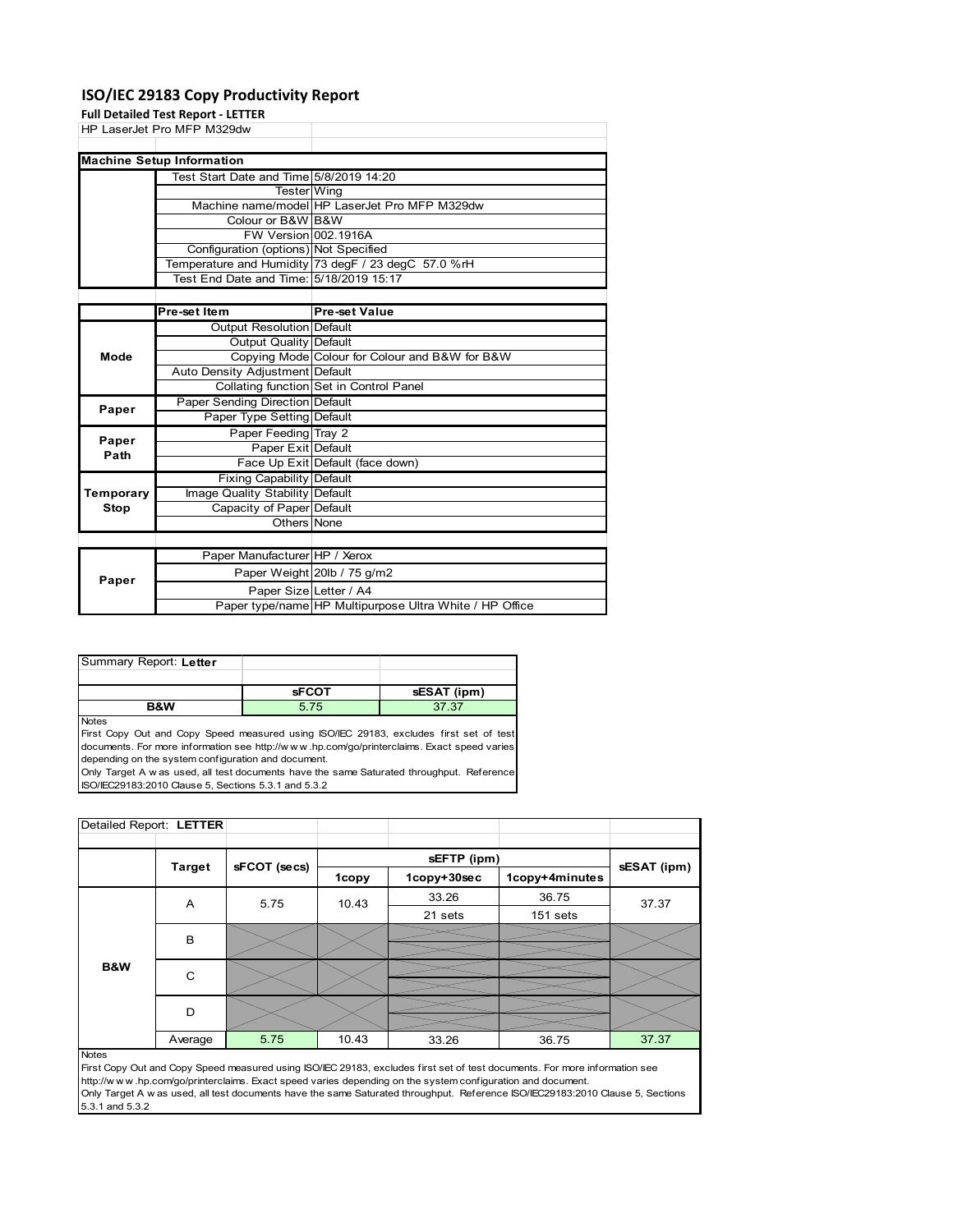### **ISO/IEC 29183 Copy Productivity Report**

**Full Detailed Test Report ‐ LETTER**

|      | HP LaserJet Pro MFP M329dw              |                                                     |
|------|-----------------------------------------|-----------------------------------------------------|
|      |                                         |                                                     |
|      | <b>Machine Setup Information</b>        |                                                     |
|      | Test Start Date and Time 5/8/2019 14:20 |                                                     |
|      | Tester Wing                             |                                                     |
|      |                                         | Machine name/model HP LaserJet Pro MFP M329dw       |
|      | Colour or B&W B&W                       |                                                     |
|      | FW Version 002.1916A                    |                                                     |
|      | Configuration (options) Not Specified   |                                                     |
|      |                                         | Temperature and Humidity 73 degF / 23 degC 57.0 %rH |
|      | Test End Date and Time: 5/18/2019 15:17 |                                                     |
|      |                                         |                                                     |
|      | Pre-set Item                            | <b>Pre-set Value</b>                                |
|      | Output Resolution Default               |                                                     |
|      | Output Quality Default                  |                                                     |
| Mode |                                         | Copying Mode Colour for Colour and B&W for B&W      |
|      | Auto Density Adjustment Default         |                                                     |
|      |                                         | Collating function Set in Control Panel             |

| Paper     | Paper Sending Direction Default |                                                         |
|-----------|---------------------------------|---------------------------------------------------------|
|           | Paper Type Setting Default      |                                                         |
| Paper     | Paper Feeding Tray 2            |                                                         |
| Path      | Paper Exit Default              |                                                         |
|           |                                 | Face Up Exit Default (face down)                        |
|           | Fixing Capability Default       |                                                         |
| Temporary | Image Quality Stability Default |                                                         |
| Stop      | Capacity of Paper Default       |                                                         |
|           | Others None                     |                                                         |
|           |                                 |                                                         |
|           | Paper Manufacturer HP / Xerox   |                                                         |
| Paper     |                                 | Paper Weight 20lb / 75 g/m2                             |
|           | Paper Size Letter / A4          |                                                         |
|           |                                 | Paper type/name HP Multipurpose Ultra White / HP Office |

| Summary Report: Letter |              |             |
|------------------------|--------------|-------------|
|                        |              |             |
|                        | <b>SFCOT</b> | sESAT (ipm) |
| <b>R&amp;W</b>         | 5 75         | 37.37       |

Notes

First Copy Out and Copy Speed measured using ISO/IEC 29183, excludes first set of test documents. For more information see http://w w w .hp.com/go/printerclaims. Exact speed varies depending on the system configuration and document.

Only Target A w as used, all test documents have the same Saturated throughput. Reference ISO/IEC29183:2010 Clause 5, Sections 5.3.1 and 5.3.2

| Detailed Report: LETTER |               |              |       |             |                |             |
|-------------------------|---------------|--------------|-------|-------------|----------------|-------------|
|                         |               |              |       | sEFTP (ipm) |                |             |
|                         | <b>Target</b> | sFCOT (secs) | 1copy | 1copy+30sec | 1copy+4minutes | sESAT (ipm) |
|                         | A             | 5.75         | 10.43 | 33.26       | 36.75          | 37.37       |
|                         |               |              |       | 21 sets     | 151 sets       |             |
|                         | B             |              |       |             |                |             |
|                         |               |              |       |             |                |             |
| <b>B&amp;W</b>          | C             |              |       |             |                |             |
|                         |               |              |       |             |                |             |
|                         | D             |              |       |             |                |             |
|                         |               |              |       |             |                |             |
|                         | Average       | 5.75         | 10.43 | 33.26       | 36.75          | 37.37       |

#### Notes

First Copy Out and Copy Speed measured using ISO/IEC 29183, excludes first set of test documents. For more information see http://w w w .hp.com/go/printerclaims. Exact speed varies depending on the system configuration and document. Only Target A w as used, all test documents have the same Saturated throughput. Reference ISO/IEC29183:2010 Clause 5, Sections 5.3.1 and 5.3.2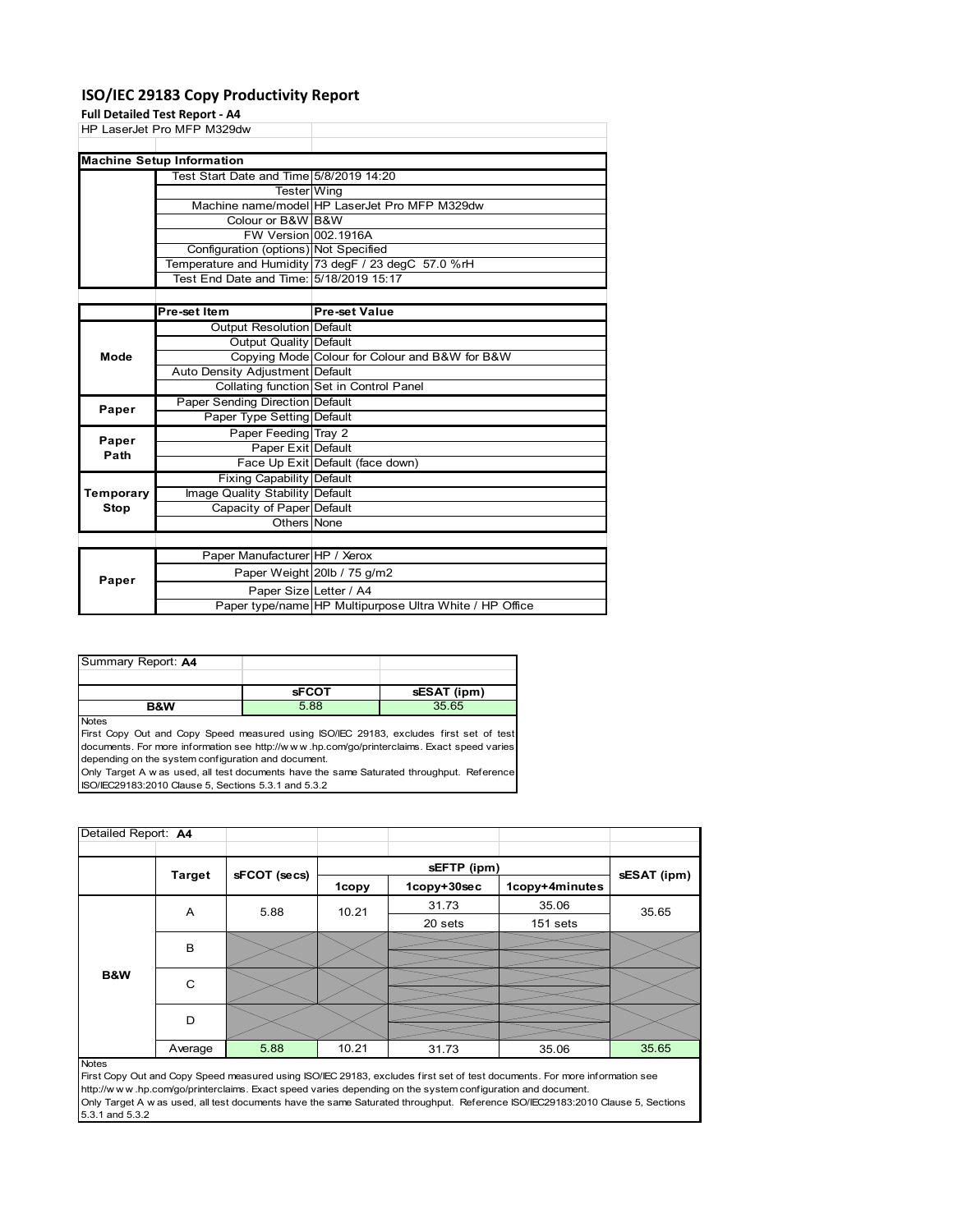### **ISO/IEC 29183 Copy Productivity Report**

#### **Full Detailed Test Report ‐ A4**

HP LaserJet Pro MFP M329dw Test Start Date and Time 5/8/2019 14:20 Tester Wing<br>Machine name/model HP La HP LaserJet Pro MFP M329dw Colour or B&W B&W<br>FW Version 002.1916A **FW Version** Configuration (options) Not Specified Temperature and Humidity 73 degF / 23 degC 57.0 %rH Test End Date and Time: 5/18/2019 15:17 **Machine Setup Information**

|           | Pre-set Item                     | <b>Pre-set Value</b>                                    |
|-----------|----------------------------------|---------------------------------------------------------|
|           | <b>Output Resolution Default</b> |                                                         |
|           | Output Quality Default           |                                                         |
| Mode      |                                  | Copying Mode Colour for Colour and B&W for B&W          |
|           | Auto Density Adjustment Default  |                                                         |
|           |                                  | Collating function Set in Control Panel                 |
| Paper     | Paper Sending Direction Default  |                                                         |
|           | Paper Type Setting Default       |                                                         |
| Paper     | Paper Feeding Tray 2             |                                                         |
| Path      | Paper Exit Default               |                                                         |
|           |                                  | Face Up Exit Default (face down)                        |
|           | <b>Fixing Capability Default</b> |                                                         |
| Temporary | Image Quality Stability Default  |                                                         |
| Stop      | Capacity of Paper Default        |                                                         |
|           | Others None                      |                                                         |
|           |                                  |                                                         |
|           | Paper Manufacturer HP / Xerox    |                                                         |
| Paper     |                                  | Paper Weight 20lb / 75 g/m2                             |
|           | Paper Size Letter / A4           |                                                         |
|           |                                  | Paper type/name HP Multipurpose Ultra White / HP Office |

| <b>R&amp;W</b>     | 5.88         | 35.65       |
|--------------------|--------------|-------------|
|                    | <b>SFCOT</b> | sESAT (ipm) |
|                    |              |             |
| Summary Report: A4 |              |             |

Notes

First Copy Out and Copy Speed measured using ISO/IEC 29183, excludes first set of test documents. For more information see http://w w w .hp.com/go/printerclaims. Exact speed varies depending on the system configuration and document.

Only Target A w as used, all test documents have the same Saturated throughput. Reference ISO/IEC29183:2010 Clause 5, Sections 5.3.1 and 5.3.2

| Detailed Report: A4 |               |              |              |             |                |             |
|---------------------|---------------|--------------|--------------|-------------|----------------|-------------|
|                     |               |              |              | sEFTP (ipm) |                |             |
|                     | <b>Target</b> | sFCOT (secs) | <b>1copy</b> | 1copy+30sec | 1copy+4minutes | sESAT (ipm) |
|                     | A             | 5.88         | 10.21        | 31.73       | 35.06          | 35.65       |
| B&W                 |               |              |              | 20 sets     | 151 sets       |             |
|                     | B             |              |              |             |                |             |
|                     | C             |              |              |             |                |             |
|                     | D             |              |              |             |                |             |
|                     | Average       | 5.88         | 10.21        | 31.73       | 35.06          | 35.65       |
| <b>Notes</b>        |               |              |              |             |                |             |

First Copy Out and Copy Speed measured using ISO/IEC 29183, excludes first set of test documents. For more information see http://w w w .hp.com/go/printerclaims. Exact speed varies depending on the system configuration and document. Only Target A w as used, all test documents have the same Saturated throughput. Reference ISO/IEC29183:2010 Clause 5, Sections 5.3.1 and 5.3.2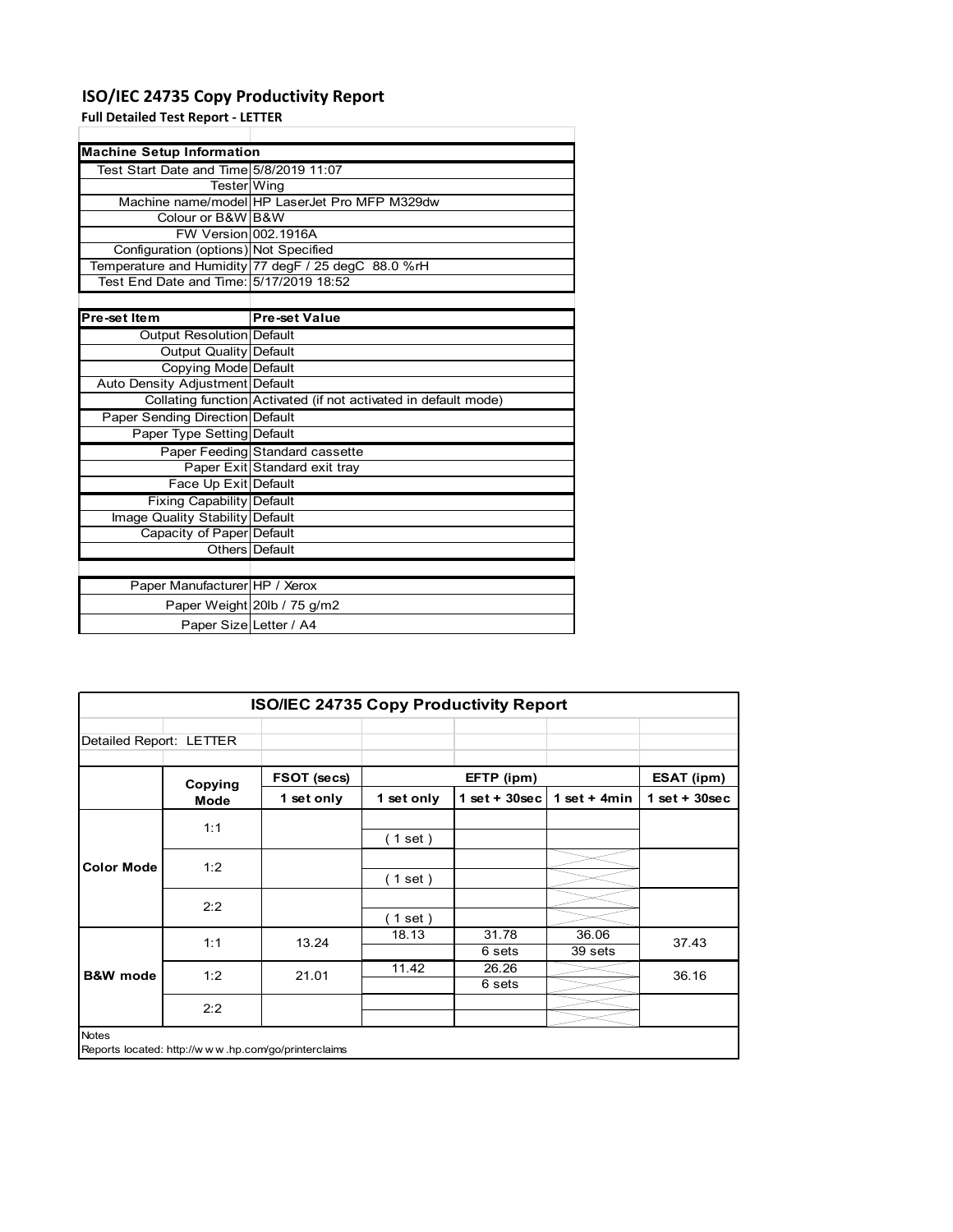# **ISO/IEC 24735 Copy Productivity Report**

**Full Detailed Test Report ‐ LETTER**

| <b>Machine Setup Information</b>        |                                                                 |
|-----------------------------------------|-----------------------------------------------------------------|
| Test Start Date and Time 5/8/2019 11:07 |                                                                 |
| Tester Wing                             |                                                                 |
|                                         | Machine name/model HP LaserJet Pro MFP M329dw                   |
| Colour or B&W B&W                       |                                                                 |
| FW Version 002.1916A                    |                                                                 |
| Configuration (options) Not Specified   |                                                                 |
|                                         | Temperature and Humidity 77 degF / 25 degC 88.0 %rH             |
| Test End Date and Time: 5/17/2019 18:52 |                                                                 |
|                                         |                                                                 |
| Pre-set Item                            | <b>Pre-set Value</b>                                            |
| Output Resolution Default               |                                                                 |
| <b>Output Quality Default</b>           |                                                                 |
| Copying Mode Default                    |                                                                 |
| Auto Density Adjustment Default         |                                                                 |
|                                         | Collating function Activated (if not activated in default mode) |
| <b>Paper Sending Direction Default</b>  |                                                                 |
| Paper Type Setting Default              |                                                                 |
|                                         | Paper Feeding Standard cassette                                 |
|                                         | Paper Exit Standard exit tray                                   |
| Face Up Exit Default                    |                                                                 |
| <b>Fixing Capability Default</b>        |                                                                 |
| Image Quality Stability Default         |                                                                 |
| Capacity of Paper Default               |                                                                 |
|                                         | Others Default                                                  |
|                                         |                                                                 |
| Paper Manufacturer HP / Xerox           |                                                                 |
|                                         | Paper Weight 20lb / 75 g/m2                                     |
| Paper Size Letter / A4                  |                                                                 |

|                         | <b>ISO/IEC 24735 Copy Productivity Report</b> |                                                     |            |                  |                  |                 |  |
|-------------------------|-----------------------------------------------|-----------------------------------------------------|------------|------------------|------------------|-----------------|--|
| Detailed Report: LETTER |                                               |                                                     |            |                  |                  |                 |  |
|                         | Copying                                       | FSOT (secs)                                         |            | EFTP (ipm)       |                  | ESAT (ipm)      |  |
|                         | Mode                                          | 1 set only                                          | 1 set only | 1 set + $30$ sec | 1 set $+$ 4 min  | $1$ set + 30sec |  |
|                         | 1:1                                           |                                                     | (1 set)    |                  |                  |                 |  |
| <b>Color Mode</b>       | 1:2                                           |                                                     | (1 set )   |                  |                  |                 |  |
|                         | 2:2                                           |                                                     | (1 set)    |                  |                  |                 |  |
|                         | 1:1                                           | 13.24                                               | 18.13      | 31.78<br>6 sets  | 36.06<br>39 sets | 37.43           |  |
| <b>B&amp;W</b> mode     | 1:2                                           | 21.01                                               | 11.42      | 26.26<br>6 sets  |                  | 36.16           |  |
|                         | 2:2                                           |                                                     |            |                  |                  |                 |  |
| <b>Notes</b>            |                                               | Reports located: http://www.hp.com/go/printerclaims |            |                  |                  |                 |  |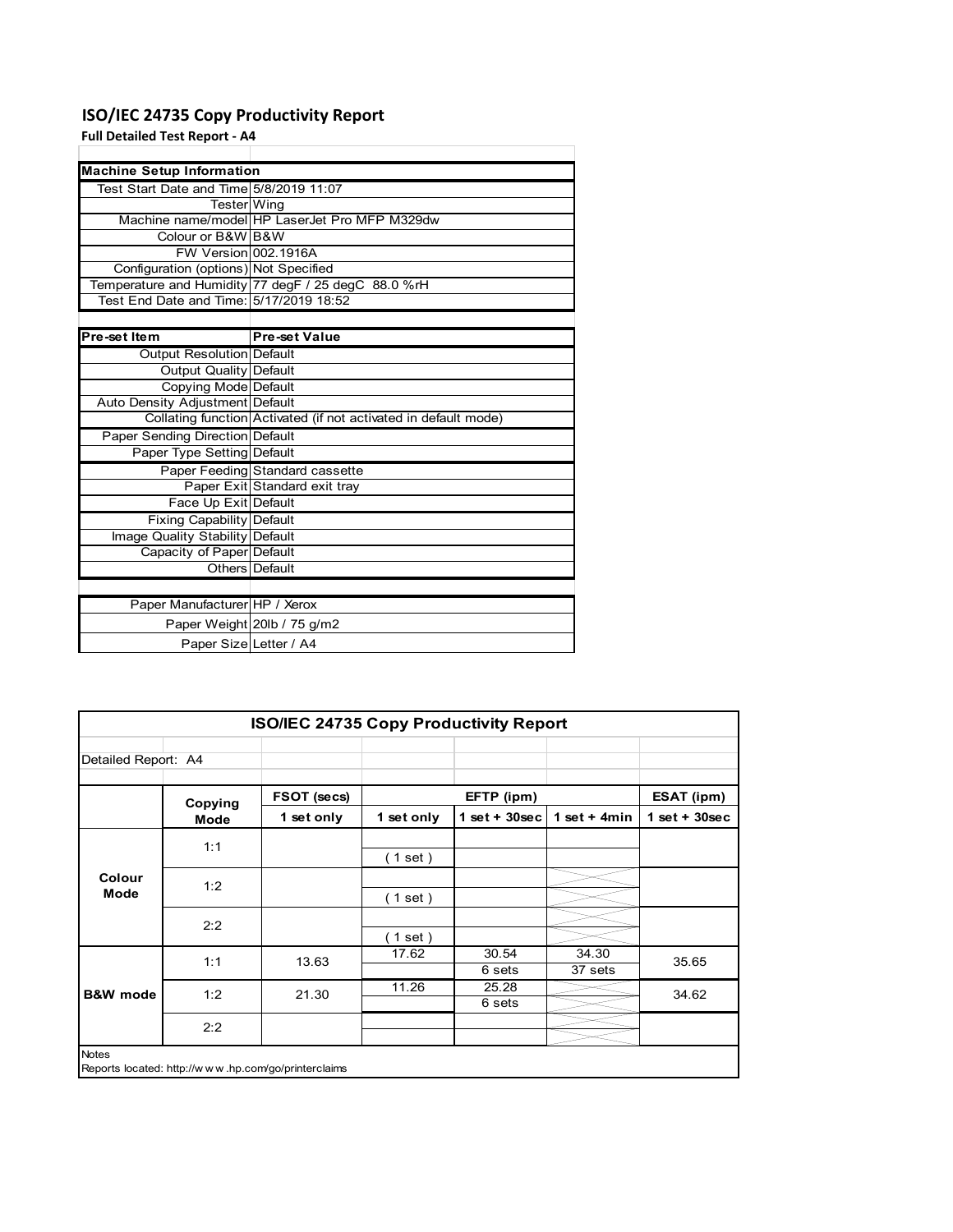# **ISO/IEC 24735 Copy Productivity Report**

### **Full Detailed Test Report ‐ A4**

| <b>Machine Setup Information</b>        |                                                                 |
|-----------------------------------------|-----------------------------------------------------------------|
| Test Start Date and Time 5/8/2019 11:07 |                                                                 |
| <b>Tester</b> Wing                      |                                                                 |
|                                         | Machine name/model HP LaserJet Pro MFP M329dw                   |
| Colour or B&W B&W                       |                                                                 |
| FW Version 002.1916A                    |                                                                 |
| Configuration (options) Not Specified   |                                                                 |
|                                         | Temperature and Humidity 77 degF / 25 degC 88.0 %rH             |
| Test End Date and Time: 5/17/2019 18:52 |                                                                 |
|                                         |                                                                 |
| Pre-set Item                            | <b>Pre-set Value</b>                                            |
| <b>Output Resolution Default</b>        |                                                                 |
| Output Quality Default                  |                                                                 |
| Copying Mode Default                    |                                                                 |
| Auto Density Adjustment Default         |                                                                 |
|                                         | Collating function Activated (if not activated in default mode) |
| <b>Paper Sending Direction Default</b>  |                                                                 |
| Paper Type Setting Default              |                                                                 |
|                                         | Paper Feeding Standard cassette                                 |
|                                         | Paper Exit Standard exit tray                                   |
| Face Up Exit Default                    |                                                                 |
| <b>Fixing Capability Default</b>        |                                                                 |
| Image Quality Stability Default         |                                                                 |
| Capacity of Paper Default               |                                                                 |
|                                         | Others Default                                                  |
|                                         |                                                                 |
| Paper Manufacturer HP / Xerox           |                                                                 |
|                                         | Paper Weight 20lb / 75 g/m2                                     |
| Paper Size Letter / A4                  |                                                                 |

| <b>ISO/IEC 24735 Copy Productivity Report</b> |         |                                                     |            |                 |                  |                 |
|-----------------------------------------------|---------|-----------------------------------------------------|------------|-----------------|------------------|-----------------|
| Detailed Report: A4                           |         |                                                     |            |                 |                  |                 |
|                                               | Copying | FSOT (secs)                                         |            | EFTP (ipm)      |                  | ESAT (ipm)      |
|                                               | Mode    | 1 set only                                          | 1 set only | $1$ set + 30sec | 1 set $+$ 4min   | $1$ set + 30sec |
|                                               | 1:1     |                                                     | (1 set )   |                 |                  |                 |
| Colour<br>Mode                                | 1:2     |                                                     | (1 set)    |                 |                  |                 |
|                                               | 2:2     |                                                     | (1 set)    |                 |                  |                 |
|                                               | 1:1     | 13.63                                               | 17.62      | 30.54<br>6 sets | 34.30<br>37 sets | 35.65           |
| <b>B&amp;W</b> mode                           | 1:2     | 21.30                                               | 11.26      | 25.28<br>6 sets |                  | 34.62           |
|                                               | 2:2     |                                                     |            |                 |                  |                 |
| <b>Notes</b>                                  |         | Reports located: http://www.hp.com/go/printerclaims |            |                 |                  |                 |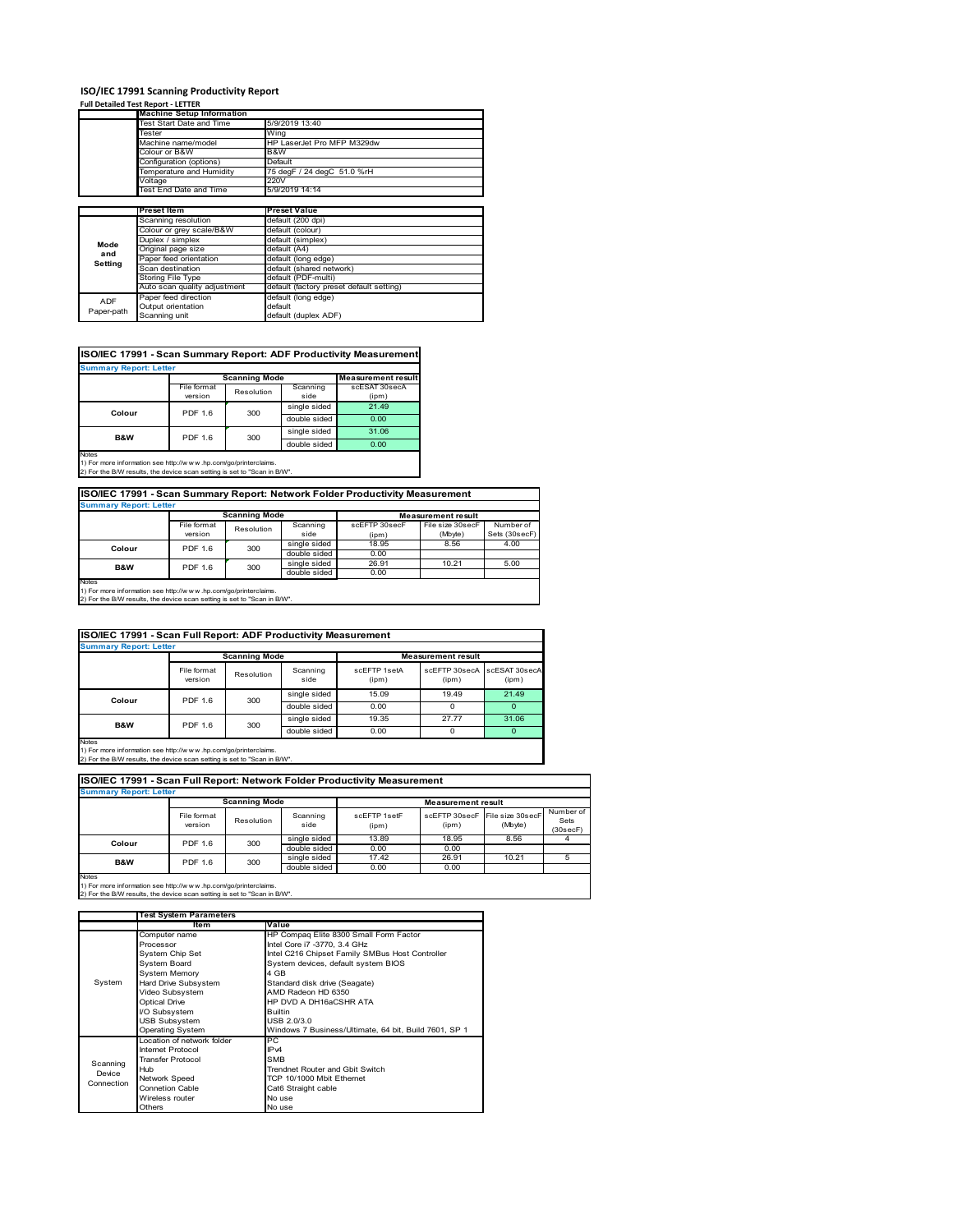### **ISO/IEC 17991 Scanning Productivity Report**

#### **Full Detailed Test Report ‐ LETTER**

|            | <b>Machine Setup Information</b> |                                          |  |  |  |
|------------|----------------------------------|------------------------------------------|--|--|--|
|            | Test Start Date and Time         | 5/9/2019 13:40                           |  |  |  |
|            | Tester                           | Wing                                     |  |  |  |
|            | Machine name/model               | HP LaserJet Pro MFP M329dw               |  |  |  |
|            | Colour or B&W                    | B&W                                      |  |  |  |
|            | Configuration (options)          | Default                                  |  |  |  |
|            | Temperature and Humidity         | 75 degF / 24 degC 51.0 %rH               |  |  |  |
|            | Voltage                          | 220V                                     |  |  |  |
|            | Test End Date and Time           | 5/9/2019 14:14                           |  |  |  |
|            |                                  |                                          |  |  |  |
|            | Preset Item                      | <b>Preset Value</b>                      |  |  |  |
|            | Scanning resolution              | default (200 dpi)                        |  |  |  |
|            | Colour or grey scale/B&W         | default (colour)                         |  |  |  |
| Mode       | Duplex / simplex                 | default (simplex)                        |  |  |  |
| and        | Original page size               | default (A4)                             |  |  |  |
| Setting    | Paper feed orientation           | default (long edge)                      |  |  |  |
|            | Scan destination                 | default (shared network)                 |  |  |  |
|            | Storing File Type                | default (PDF-multi)                      |  |  |  |
|            | Auto scan quality adjustment     | default (factory preset default setting) |  |  |  |
| <b>ADF</b> | Paper feed direction             | default (long edge)                      |  |  |  |
|            | Output orientation               | default                                  |  |  |  |
| Paper-path | Scanning unit                    | default (duplex ADF)                     |  |  |  |

### **ISO/IEC 17991 - Scan Summary Report: ADF Productivity Measurement**

| <b>Summary Report: Letter</b>                                                                   |                | <b>Scanning Mode</b><br><b>Measurement result</b> |              |               |
|-------------------------------------------------------------------------------------------------|----------------|---------------------------------------------------|--------------|---------------|
|                                                                                                 | File format    |                                                   |              | scESAT 30secA |
|                                                                                                 | version        | Resolution                                        | side         | (ipm)         |
| Colour                                                                                          | <b>PDF 1.6</b> | 300                                               | single sided | 21.49         |
|                                                                                                 |                |                                                   | double sided | 0.00          |
| <b>B&amp;W</b>                                                                                  | <b>PDF 1.6</b> | 300                                               | single sided | 31.06         |
|                                                                                                 |                |                                                   | double sided | 0.00          |
| <b>Notes</b><br>45 For access to former than a such than (from contract and an industrial basic |                |                                                   |              |               |

1) For more information see http://w w w .hp.com/go/printerclaims. 2) For the B/W results, the device scan setting is set to "Scan in B/W".

### **ISO/IEC 17991 - Scan Summary Report: Network Folder Productivity Measurement**

| <b>Summary Report: Letter</b>                                                                                                               | <b>Scanning Mode</b>     |            |                  | <b>Measurement result</b> |                             |                            |
|---------------------------------------------------------------------------------------------------------------------------------------------|--------------------------|------------|------------------|---------------------------|-----------------------------|----------------------------|
|                                                                                                                                             | File format<br>version   | Resolution | Scanning<br>side | scEFTP 30secF<br>(ipm)    | File size 30secF<br>(Mbyte) | Number of<br>Sets (30secF) |
|                                                                                                                                             | <b>PDF 1.6</b><br>Colour | 300        | single sided     | 18.95                     | 8.56                        | 4.00                       |
|                                                                                                                                             |                          |            | double sided     | 0.00                      |                             |                            |
| B&W                                                                                                                                         | 300<br><b>PDF 1.6</b>    |            | single sided     | 26.91                     | 10.21                       | 5.00                       |
|                                                                                                                                             |                          |            | double sided     | 0.00                      |                             |                            |
| Notes                                                                                                                                       |                          |            |                  |                           |                             |                            |
| 1) For more information see http://www.hp.com/go/printerclaims.<br>2) For the B/W results, the device scan setting is set to "Scan in B/W". |                          |            |                  |                           |                             |                            |

#### File format version Resolution Scanning side scEFTP 1setA (ipm) scEFTP 30secA (ipm) scESAT 30secA (ipm) single sided 15.09 19.49 21.49 double sided 0.00 0 0 0 0 0 0 single sided 19.35 27.77 31.06 single sided 19.35<br>double sided 0.00 double sided 0.00 0 0 0 **ISO/IEC 17991 - Scan Full Report: ADF Productivity Measurement Immary Report: Letter Measurement** re **Scanning Mode Colour** PDF 1.6 300 **B&W** PDF 1.6 300

Notes 1) For more information see http://w w w .hp.com/go/printerclaims. 2) For the B/W results, the device scan setting is set to "Scan in B/W".

|                                                   | ISO/IEC 17991 - Scan Full Report: Network Folder Productivity Measurement<br><b>Summary Report: Letter</b> |            |                  |                       |                        |                             |                               |
|---------------------------------------------------|------------------------------------------------------------------------------------------------------------|------------|------------------|-----------------------|------------------------|-----------------------------|-------------------------------|
| <b>Scanning Mode</b><br><b>Measurement result</b> |                                                                                                            |            |                  |                       |                        |                             |                               |
|                                                   | File format<br>version                                                                                     | Resolution | Scanning<br>side | scFFTP 1setF<br>(ipm) | scFFTP 30secF<br>(ipm) | File size 30secF<br>(Mbyte) | Number of<br>Sets<br>(30secF) |
| Colour                                            | PDF 1.6                                                                                                    | 300        | single sided     | 13.89                 | 18.95                  | 8.56                        | 4                             |
|                                                   |                                                                                                            |            | double sided     | 0.00                  | 0.00                   |                             |                               |
| <b>B&amp;W</b>                                    | <b>PDF 1.6</b>                                                                                             | 300        | single sided     | 17.42                 | 26.91                  | 10.21                       | 5                             |
|                                                   |                                                                                                            |            | double sided     | 0.00                  | 0.00                   |                             |                               |

1) For more information see http://w w w .hp.com/go/printerclaims. 2) For the B/W results, the device scan setting is set to "Scan in B/W".

|            | <b>Test System Parameters</b> |                                                       |  |  |
|------------|-------------------------------|-------------------------------------------------------|--|--|
|            | Item                          | Value                                                 |  |  |
|            | Computer name                 | HP Compaq Elite 8300 Small Form Factor                |  |  |
|            | Processor                     | Intel Core i7 -3770, 3.4 GHz                          |  |  |
|            | System Chip Set               | Intel C216 Chipset Family SMBus Host Controller       |  |  |
|            | System Board                  | System devices, default system BIOS                   |  |  |
|            | <b>System Memory</b>          | 4 GB                                                  |  |  |
| System     | Hard Drive Subsystem          | Standard disk drive (Seagate)                         |  |  |
|            | Video Subsystem               | AMD Radeon HD 6350                                    |  |  |
|            | <b>Optical Drive</b>          | HP DVD A DH16aCSHR ATA                                |  |  |
|            | I/O Subsystem                 | <b>Builtin</b>                                        |  |  |
|            | <b>USB Subsystem</b>          | USB 2.0/3.0                                           |  |  |
|            | <b>Operating System</b>       | Windows 7 Business/Ultimate, 64 bit, Build 7601, SP 1 |  |  |
|            | Location of network folder    | РC                                                    |  |  |
|            | Internet Protocol             | IP <sub>v4</sub>                                      |  |  |
| Scanning   | <b>Transfer Protocol</b>      | <b>SMB</b>                                            |  |  |
| Device     | Hub                           | Trendnet Router and Gbit Switch                       |  |  |
| Connection | Network Speed                 | TCP 10/1000 Mbit Ethernet                             |  |  |
|            | Connetion Cable               | Cat6 Straight cable                                   |  |  |
|            | Wireless router               | No use                                                |  |  |
|            | Others                        | No use                                                |  |  |